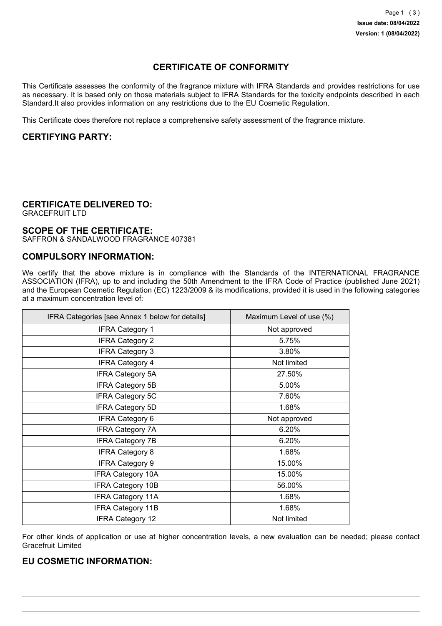# **CERTIFICATE OF CONFORMITY**

This Certificate assesses the conformity of the fragrance mixture with IFRA Standards and provides restrictions for use as necessary. It is based only on those materials subject to IFRA Standards for the toxicity endpoints described in each Standard.It also provides information on any restrictions due to the EU Cosmetic Regulation.

This Certificate does therefore not replace a comprehensive safety assessment of the fragrance mixture.

## **CERTIFYING PARTY:**

### **CERTIFICATE DELIVERED TO:**

GRACEFRUIT LTD

### **SCOPE OF THE CERTIFICATE:**

SAFFRON & SANDALWOOD FRAGRANCE 407381

## **COMPULSORY INFORMATION:**

We certify that the above mixture is in compliance with the Standards of the INTERNATIONAL FRAGRANCE ASSOCIATION (IFRA), up to and including the 50th Amendment to the IFRA Code of Practice (published June 2021) and the European Cosmetic Regulation (EC) 1223/2009 & its modifications, provided it is used in the following categories at a maximum concentration level of:

| IFRA Categories [see Annex 1 below for details] | Maximum Level of use (%) |
|-------------------------------------------------|--------------------------|
| <b>IFRA Category 1</b>                          | Not approved             |
| <b>IFRA Category 2</b>                          | 5.75%                    |
| <b>IFRA Category 3</b>                          | 3.80%                    |
| <b>IFRA Category 4</b>                          | Not limited              |
| <b>IFRA Category 5A</b>                         | 27.50%                   |
| <b>IFRA Category 5B</b>                         | 5.00%                    |
| <b>IFRA Category 5C</b>                         | 7.60%                    |
| <b>IFRA Category 5D</b>                         | 1.68%                    |
| <b>IFRA Category 6</b>                          | Not approved             |
| <b>IFRA Category 7A</b>                         | 6.20%                    |
| <b>IFRA Category 7B</b>                         | 6.20%                    |
| <b>IFRA Category 8</b>                          | 1.68%                    |
| <b>IFRA Category 9</b>                          | 15.00%                   |
| <b>IFRA Category 10A</b>                        | 15.00%                   |
| <b>IFRA Category 10B</b>                        | 56.00%                   |
| <b>IFRA Category 11A</b>                        | 1.68%                    |
| <b>IFRA Category 11B</b>                        | 1.68%                    |
| <b>IFRA Category 12</b>                         | Not limited              |

For other kinds of application or use at higher concentration levels, a new evaluation can be needed; please contact Gracefruit Limited

#### **EU COSMETIC INFORMATION:**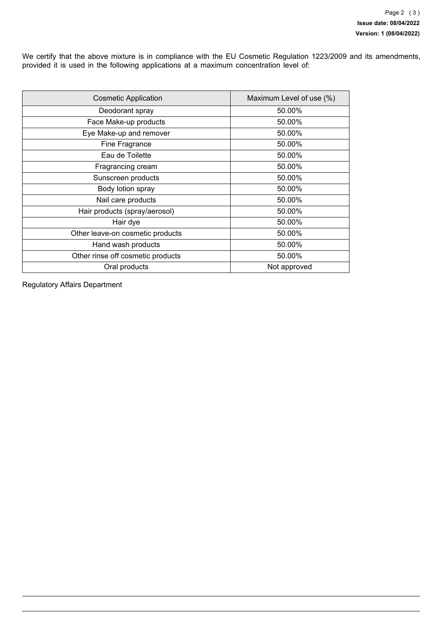We certify that the above mixture is in compliance with the EU Cosmetic Regulation 1223/2009 and its amendments, provided it is used in the following applications at a maximum concentration level of:

| <b>Cosmetic Application</b>       | Maximum Level of use (%) |
|-----------------------------------|--------------------------|
| Deodorant spray                   | 50.00%                   |
| Face Make-up products             | 50.00%                   |
| Eye Make-up and remover           | 50.00%                   |
| Fine Fragrance                    | 50.00%                   |
| Eau de Toilette                   | 50.00%                   |
| Fragrancing cream                 | 50.00%                   |
| Sunscreen products                | 50.00%                   |
| Body lotion spray                 | 50.00%                   |
| Nail care products                | 50.00%                   |
| Hair products (spray/aerosol)     | 50.00%                   |
| Hair dye                          | 50.00%                   |
| Other leave-on cosmetic products  | 50.00%                   |
| Hand wash products                | 50.00%                   |
| Other rinse off cosmetic products | 50.00%                   |
| Oral products                     | Not approved             |

Regulatory Affairs Department